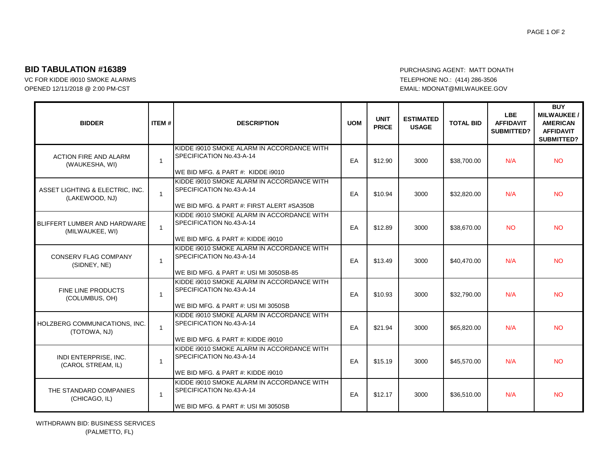## **BID TABULATION #16389** PURCHASING AGENT: MATT DONATH

OPENED 12/11/2018 @ 2:00 PM-CST EMAIL: MDONAT@MILWAUKEE.GOV

VC FOR KIDDE i9010 SMOKE ALARMS TELEPHONE NO.: (414) 286-3506

| <b>BIDDER</b>                                     | <b>ITEM#</b>   | <b>DESCRIPTION</b>                                                                                                  | <b>UOM</b> | <b>UNIT</b><br><b>PRICE</b> | <b>ESTIMATED</b><br><b>USAGE</b> | <b>TOTAL BID</b> | <b>LBE</b><br><b>AFFIDAVIT</b><br>SUBMITTED? | <b>BUY</b><br><b>MILWAUKEE/</b><br><b>AMERICAN</b><br><b>AFFIDAVIT</b><br><b>SUBMITTED?</b> |
|---------------------------------------------------|----------------|---------------------------------------------------------------------------------------------------------------------|------------|-----------------------------|----------------------------------|------------------|----------------------------------------------|---------------------------------------------------------------------------------------------|
| <b>ACTION FIRE AND ALARM</b><br>(WAUKESHA, WI)    | $\mathbf{1}$   | KIDDE 19010 SMOKE ALARM IN ACCORDANCE WITH<br>SPECIFICATION No.43-A-14<br>WE BID MFG. & PART #: KIDDE i9010         | EA         | \$12.90                     | 3000                             | \$38,700.00      | N/A                                          | <b>NO</b>                                                                                   |
| ASSET LIGHTING & ELECTRIC, INC.<br>(LAKEWOOD, NJ) | $\mathbf{1}$   | KIDDE 19010 SMOKE ALARM IN ACCORDANCE WITH<br>SPECIFICATION No.43-A-14<br>WE BID MFG. & PART #: FIRST ALERT #SA350B | EA         | \$10.94                     | 3000                             | \$32.820.00      | N/A                                          | <b>NO</b>                                                                                   |
| BLIFFERT LUMBER AND HARDWARE<br>(MILWAUKEE, WI)   | 1              | KIDDE 19010 SMOKE ALARM IN ACCORDANCE WITH<br>SPECIFICATION No.43-A-14<br>WE BID MFG. & PART #: KIDDE 19010         | EA         | \$12.89                     | 3000                             | \$38,670.00      | <b>NO</b>                                    | <b>NO</b>                                                                                   |
| <b>CONSERV FLAG COMPANY</b><br>(SIDNEY, NE)       | $\mathbf{1}$   | KIDDE 19010 SMOKE ALARM IN ACCORDANCE WITH<br>SPECIFICATION No.43-A-14<br>WE BID MFG. & PART #: USI MI 3050SB-85    | EA         | \$13.49                     | 3000                             | \$40,470.00      | N/A                                          | <b>NO</b>                                                                                   |
| FINE LINE PRODUCTS<br>(COLUMBUS, OH)              | 1              | KIDDE 19010 SMOKE ALARM IN ACCORDANCE WITH<br>SPECIFICATION No.43-A-14<br>WE BID MFG. & PART #: USI MI 3050SB       | EA         | \$10.93                     | 3000                             | \$32,790.00      | N/A                                          | <b>NO</b>                                                                                   |
| HOLZBERG COMMUNICATIONS, INC.<br>(TOTOWA, NJ)     | $\overline{1}$ | KIDDE 19010 SMOKE ALARM IN ACCORDANCE WITH<br>SPECIFICATION No.43-A-14<br>WE BID MFG. & PART #: KIDDE i9010         | EA         | \$21.94                     | 3000                             | \$65,820.00      | N/A                                          | <b>NO</b>                                                                                   |
| INDI ENTERPRISE, INC.<br>(CAROL STREAM, IL)       | $\mathbf{1}$   | KIDDE 19010 SMOKE ALARM IN ACCORDANCE WITH<br>SPECIFICATION No.43-A-14<br>WE BID MFG. & PART #: KIDDE 19010         | EA         | \$15.19                     | 3000                             | \$45,570.00      | N/A                                          | <b>NO</b>                                                                                   |
| THE STANDARD COMPANIES<br>(CHICAGO, IL)           | $\mathbf{1}$   | KIDDE 19010 SMOKE ALARM IN ACCORDANCE WITH<br>SPECIFICATION No.43-A-14<br>WE BID MFG. & PART #: USI MI 3050SB       | EA         | \$12.17                     | 3000                             | \$36,510.00      | N/A                                          | <b>NO</b>                                                                                   |